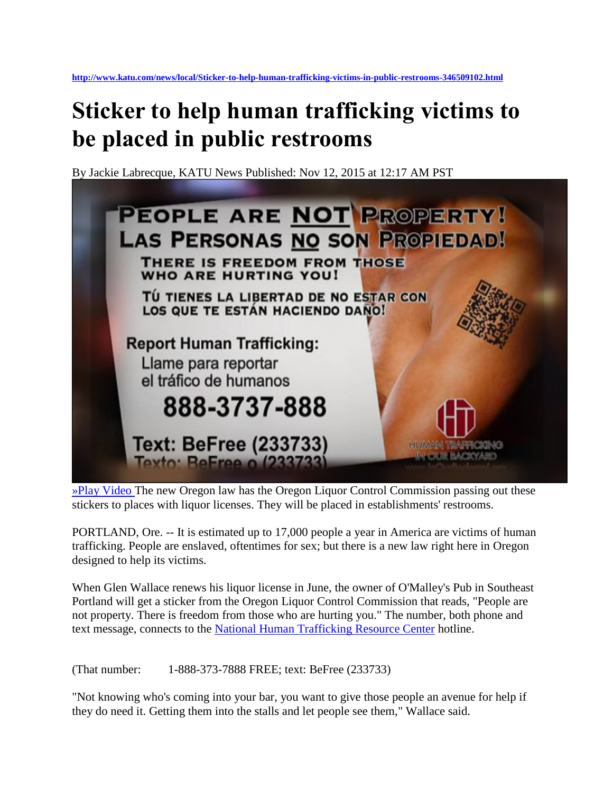## **Sticker to help human trafficking victims to be placed in public restrooms**

By Jackie Labrecque, KATU News Published: Nov 12, 2015 at 12:17 AM PST



[»Play Video](http://www.katu.com/news/local/Sticker-to-help-human-trafficking-victims-in-public-restrooms-346509102.html?tab=video&c=y) The new Oregon law has the Oregon Liquor Control Commission passing out these stickers to places with liquor licenses. They will be placed in establishments' restrooms.

PORTLAND, Ore. -- It is estimated up to 17,000 people a year in America are victims of human trafficking. People are enslaved, oftentimes for sex; but there is a new law right here in Oregon designed to help its victims.

When Glen Wallace renews his liquor license in June, the owner of O'Malley's Pub in Southeast Portland will get a sticker from the Oregon Liquor Control Commission that reads, "People are not property. There is freedom from those who are hurting you." The number, both phone and text message, connects to the [National Human Trafficking Resource Center](http://traffickingresourcecenter.org/) hotline.

(That number: 1-888-373-7888 FREE; text: BeFree (233733)

"Not knowing who's coming into your bar, you want to give those people an avenue for help if they do need it. Getting them into the stalls and let people see them," Wallace said.